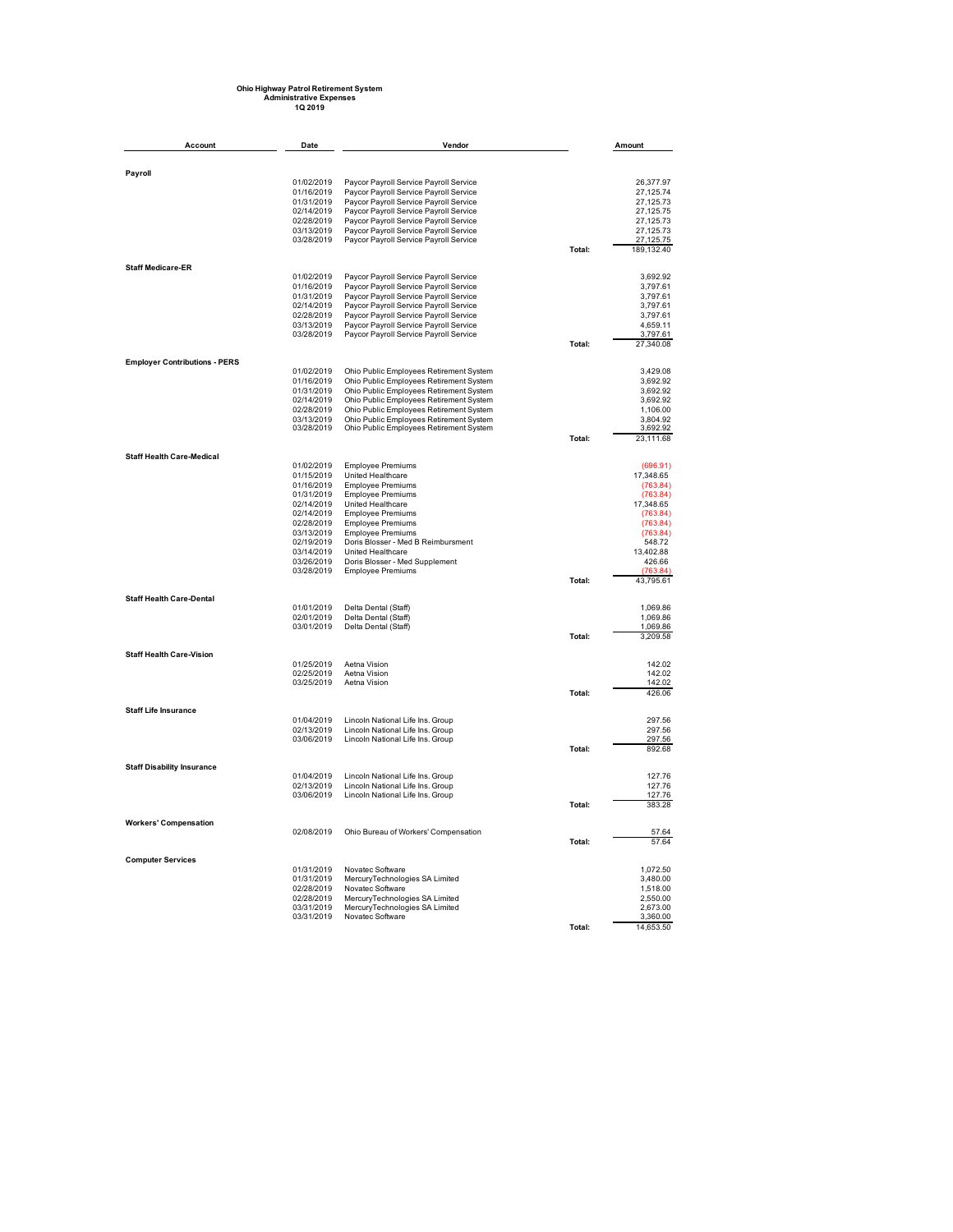## **Ohio Highway Patrol Retirement System Administrative Expenses 1Q 2019**

| Account                              | Date                     | Vendor                                                                             |        | Amount                 |
|--------------------------------------|--------------------------|------------------------------------------------------------------------------------|--------|------------------------|
|                                      |                          |                                                                                    |        |                        |
| Payroll                              |                          |                                                                                    |        |                        |
|                                      | 01/02/2019<br>01/16/2019 | Paycor Payroll Service Payroll Service<br>Paycor Payroll Service Payroll Service   |        | 26,377.97<br>27.125.74 |
|                                      | 01/31/2019               | Paycor Payroll Service Payroll Service                                             |        | 27,125.73              |
|                                      | 02/14/2019               | Paycor Payroll Service Payroll Service                                             |        | 27,125.75              |
|                                      | 02/28/2019               | Paycor Payroll Service Payroll Service                                             |        | 27,125.73              |
|                                      | 03/13/2019<br>03/28/2019 | Paycor Payroll Service Payroll Service<br>Paycor Payroll Service Payroll Service   |        | 27,125.73<br>27,125.75 |
|                                      |                          |                                                                                    | Total: | 189,132.40             |
| <b>Staff Medicare-ER</b>             |                          |                                                                                    |        |                        |
|                                      | 01/02/2019               | Paycor Payroll Service Payroll Service                                             |        | 3.692.92               |
|                                      | 01/16/2019               | Paycor Payroll Service Payroll Service                                             |        | 3,797.61               |
|                                      | 01/31/2019<br>02/14/2019 | Paycor Payroll Service Payroll Service<br>Paycor Payroll Service Payroll Service   |        | 3.797.61<br>3,797.61   |
|                                      | 02/28/2019               | Paycor Payroll Service Payroll Service                                             |        | 3,797.61               |
|                                      | 03/13/2019               | Paycor Payroll Service Payroll Service                                             |        | 4.659.11               |
|                                      | 03/28/2019               | Paycor Payroll Service Payroll Service                                             | Total: | 3,797.61<br>27,340.08  |
|                                      |                          |                                                                                    |        |                        |
| <b>Employer Contributions - PERS</b> | 01/02/2019               | Ohio Public Employees Retirement System                                            |        | 3,429.08               |
|                                      | 01/16/2019               | Ohio Public Employees Retirement System                                            |        | 3,692.92               |
|                                      | 01/31/2019               | Ohio Public Employees Retirement System                                            |        | 3,692.92               |
|                                      | 02/14/2019<br>02/28/2019 | Ohio Public Employees Retirement System<br>Ohio Public Employees Retirement System |        | 3,692.92<br>1.106.00   |
|                                      | 03/13/2019               | Ohio Public Employees Retirement System                                            |        | 3,804.92               |
|                                      | 03/28/2019               | Ohio Public Employees Retirement System                                            |        | 3,692.92               |
|                                      |                          |                                                                                    | Total: | 23,111.68              |
| <b>Staff Health Care-Medical</b>     |                          |                                                                                    |        |                        |
|                                      | 01/02/2019<br>01/15/2019 | <b>Employee Premiums</b><br>United Healthcare                                      |        | (696.91)<br>17,348.65  |
|                                      | 01/16/2019               | <b>Employee Premiums</b>                                                           |        | (763.84)               |
|                                      | 01/31/2019               | <b>Employee Premiums</b>                                                           |        | (763.84)               |
|                                      | 02/14/2019               | United Healthcare                                                                  |        | 17,348.65              |
|                                      | 02/14/2019               | <b>Employee Premiums</b>                                                           |        | (763.84)               |
|                                      | 02/28/2019<br>03/13/2019 | <b>Employee Premiums</b><br><b>Employee Premiums</b>                               |        | (763.84)<br>(763.84)   |
|                                      | 02/19/2019               | Doris Blosser - Med B Reimbursment                                                 |        | 548.72                 |
|                                      | 03/14/2019               | United Healthcare                                                                  |        | 13,402.88              |
|                                      | 03/26/2019               | Doris Blosser - Med Supplement                                                     |        | 426.66                 |
|                                      | 03/28/2019               | <b>Employee Premiums</b>                                                           | Total: | (763.84)<br>43,795.61  |
| <b>Staff Health Care-Dental</b>      |                          |                                                                                    |        |                        |
|                                      | 01/01/2019               | Delta Dental (Staff)                                                               |        | 1,069.86               |
|                                      | 02/01/2019               | Delta Dental (Staff)                                                               |        | 1,069.86               |
|                                      | 03/01/2019               | Delta Dental (Staff)                                                               | Total: | 1,069.86<br>3,209.58   |
| <b>Staff Health Care-Vision</b>      |                          |                                                                                    |        |                        |
|                                      | 01/25/2019               | Aetna Vision                                                                       |        | 142.02                 |
|                                      | 02/25/2019               | Aetna Vision                                                                       |        | 142.02                 |
|                                      | 03/25/2019               | Aetna Vision                                                                       | Total: | 142.02<br>426.06       |
| <b>Staff Life Insurance</b>          |                          |                                                                                    |        |                        |
|                                      | 01/04/2019               | Lincoln National Life Ins. Group                                                   |        | 297.56                 |
|                                      | 02/13/2019               | Lincoln National Life Ins. Group                                                   |        | 297.56                 |
|                                      | 03/06/2019               | Lincoln National Life Ins. Group                                                   | Total: | 297.56<br>892.68       |
|                                      |                          |                                                                                    |        |                        |
| <b>Staff Disability Insurance</b>    |                          |                                                                                    |        |                        |
|                                      | 01/04/2019<br>02/13/2019 | Lincoln National Life Ins. Group<br>Lincoln National Life Ins. Group               |        | 127.76<br>127.76       |
|                                      | 03/06/2019               | Lincoln National Life Ins. Group                                                   |        | 127.76                 |
|                                      |                          |                                                                                    | Total: | 383.28                 |
| <b>Workers' Compensation</b>         |                          |                                                                                    |        |                        |
|                                      | 02/08/2019               | Ohio Bureau of Workers' Compensation                                               | Total: | 57.64<br>57.64         |
| <b>Computer Services</b>             |                          |                                                                                    |        |                        |
|                                      | 01/31/2019               | Novatec Software                                                                   |        | 1,072.50               |
|                                      | 01/31/2019<br>02/28/2019 | MercuryTechnologies SA Limited<br>Novatec Software                                 |        | 3.480.00<br>1,518.00   |
|                                      | 02/28/2019               | MercuryTechnologies SA Limited                                                     |        | 2.550.00               |
|                                      | 03/31/2019               | MercuryTechnologies SA Limited                                                     |        | 2,673.00               |
|                                      | 03/31/2019               | Novatec Software                                                                   |        | 3,360.00               |
|                                      |                          |                                                                                    | Total: | 14.653.50              |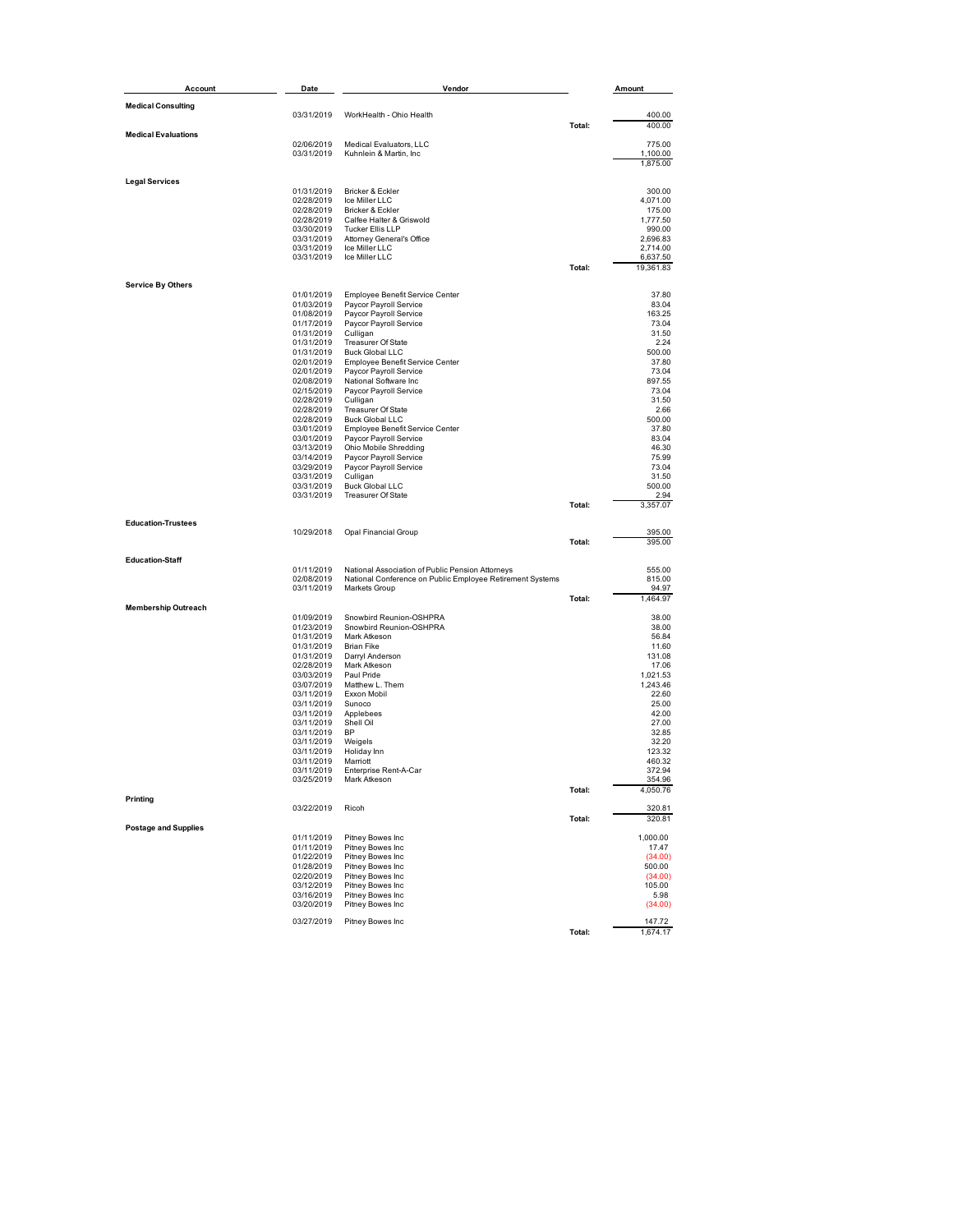| Account                     | Date                     | Vendor                                                                     |        | Amount                |
|-----------------------------|--------------------------|----------------------------------------------------------------------------|--------|-----------------------|
| <b>Medical Consulting</b>   |                          |                                                                            |        |                       |
|                             | 03/31/2019               | WorkHealth - Ohio Health                                                   |        | 400.00                |
|                             |                          |                                                                            | Total: | 400.00                |
| <b>Medical Evaluations</b>  | 02/06/2019               | Medical Evaluators, LLC                                                    |        | 775.00                |
|                             | 03/31/2019               | Kuhnlein & Martin, Inc.                                                    |        | 1,100.00              |
|                             |                          |                                                                            |        | 1,875.00              |
| <b>Legal Services</b>       |                          |                                                                            |        |                       |
|                             | 01/31/2019               | Bricker & Eckler                                                           |        | 300.00                |
|                             | 02/28/2019               | Ice Miller LLC                                                             |        | 4,071.00              |
|                             | 02/28/2019<br>02/28/2019 | Bricker & Eckler<br>Calfee Halter & Griswold                               |        | 175.00<br>1,777.50    |
|                             | 03/30/2019               | Tucker Ellis LLP                                                           |        | 990.00                |
|                             | 03/31/2019               | Attorney General's Office                                                  |        | 2,696.83              |
|                             | 03/31/2019               | Ice Miller LLC                                                             |        | 2,714.00              |
|                             | 03/31/2019               | Ice Miller LLC                                                             | Total: | 6,637.50<br>19,361.83 |
|                             |                          |                                                                            |        |                       |
| <b>Service By Others</b>    |                          |                                                                            |        |                       |
|                             | 01/01/2019<br>01/03/2019 | Employee Benefit Service Center<br>Paycor Payroll Service                  |        | 37.80<br>83.04        |
|                             | 01/08/2019               | Paycor Payroll Service                                                     |        | 163.25                |
|                             | 01/17/2019               | Paycor Payroll Service                                                     |        | 73.04                 |
|                             | 01/31/2019               | Culligan                                                                   |        | 31.50                 |
|                             | 01/31/2019               | Treasurer Of State                                                         |        | 2.24                  |
|                             | 01/31/2019<br>02/01/2019 | <b>Buck Global LLC</b><br>Employee Benefit Service Center                  |        | 500.00<br>37.80       |
|                             | 02/01/2019               | Paycor Payroll Service                                                     |        | 73.04                 |
|                             | 02/08/2019               | National Software Inc                                                      |        | 897.55                |
|                             | 02/15/2019               | Paycor Payroll Service                                                     |        | 73.04                 |
|                             | 02/28/2019               | Culligan                                                                   |        | 31.50                 |
|                             | 02/28/2019               | Treasurer Of State                                                         |        | 2.66                  |
|                             | 02/28/2019<br>03/01/2019 | <b>Buck Global LLC</b><br>Employee Benefit Service Center                  |        | 500.00<br>37.80       |
|                             | 03/01/2019               | Paycor Payroll Service                                                     |        | 83.04                 |
|                             | 03/13/2019               | Ohio Mobile Shredding                                                      |        | 46.30                 |
|                             | 03/14/2019               | Paycor Payroll Service                                                     |        | 75.99                 |
|                             | 03/29/2019               | Paycor Payroll Service                                                     |        | 73.04                 |
|                             | 03/31/2019<br>03/31/2019 | Culligan<br><b>Buck Global LLC</b>                                         |        | 31.50<br>500.00       |
|                             | 03/31/2019               | <b>Treasurer Of State</b>                                                  |        | 2.94                  |
|                             |                          |                                                                            | Total: | 3,357.07              |
| <b>Education-Trustees</b>   |                          |                                                                            |        |                       |
|                             | 10/29/2018               | Opal Financial Group                                                       |        | 395.00                |
|                             |                          |                                                                            | Total: | 395.00                |
| <b>Education-Staff</b>      |                          |                                                                            |        |                       |
|                             | 01/11/2019<br>02/08/2019 | National Association of Public Pension Attorneys                           |        | 555.00<br>815.00      |
|                             | 03/11/2019               | National Conference on Public Employee Retirement Systems<br>Markets Group |        | 94.97                 |
|                             |                          |                                                                            | Total: | 1,464.97              |
| <b>Membership Outreach</b>  |                          |                                                                            |        |                       |
|                             | 01/09/2019               | Snowbird Reunion-OSHPRA<br>Snowbird Reunion-OSHPRA                         |        | 38.00                 |
|                             | 01/23/2019<br>01/31/2019 | Mark Atkeson                                                               |        | 38.00<br>56.84        |
|                             | 01/31/2019               | <b>Brian Fike</b>                                                          |        | 11.60                 |
|                             | 01/31/2019               | Darryl Anderson                                                            |        | 131.08                |
|                             | 02/28/2019               | Mark Atkeson                                                               |        | 17.06                 |
|                             | 03/03/2019               | Paul Pride<br>Matthew L. Them                                              |        | 1,021.53              |
|                             | 03/07/2019<br>03/11/2019 | Exxon Mobil                                                                |        | 1,243.46<br>22.60     |
|                             | 03/11/2019               | Sunoco                                                                     |        | 25.00                 |
|                             | 03/11/2019               | Applebees                                                                  |        | 42.00                 |
|                             | 03/11/2019               | Shell Oil                                                                  |        | 27.00                 |
|                             | 03/11/2019               | BP                                                                         |        | 32.85                 |
|                             | 03/11/2019<br>03/11/2019 | Weigels<br>Holiday Inn                                                     |        | 32.20<br>123.32       |
|                             | 03/11/2019               | Marriott                                                                   |        | 460.32                |
|                             | 03/11/2019               | Enterprise Rent-A-Car                                                      |        | 372.94                |
|                             | 03/25/2019               | Mark Atkeson                                                               |        | 354 96                |
| Printing                    |                          |                                                                            | Total: | 4,050.76              |
|                             | 03/22/2019               | Ricoh                                                                      |        | 320.81                |
| <b>Postage and Supplies</b> |                          |                                                                            | Total: | 320.81                |
|                             | 01/11/2019               | Pitney Bowes Inc                                                           |        | 1,000.00              |
|                             | 01/11/2019               | Pitney Bowes Inc                                                           |        | 17.47                 |
|                             | 01/22/2019<br>01/28/2019 | Pitney Bowes Inc<br>Pitney Bowes Inc                                       |        | (34.00)<br>500.00     |
|                             | 02/20/2019               | Pitney Bowes Inc                                                           |        | (34.00)               |
|                             | 03/12/2019               | Pitney Bowes Inc                                                           |        | 105.00                |
|                             | 03/16/2019               | Pitney Bowes Inc                                                           |        | 5.98                  |
|                             | 03/20/2019               | Pitney Bowes Inc                                                           |        | (34.00)               |
|                             | 03/27/2019               | Pitney Bowes Inc                                                           |        | 147.72                |
|                             |                          |                                                                            | Total: | 1,674.17              |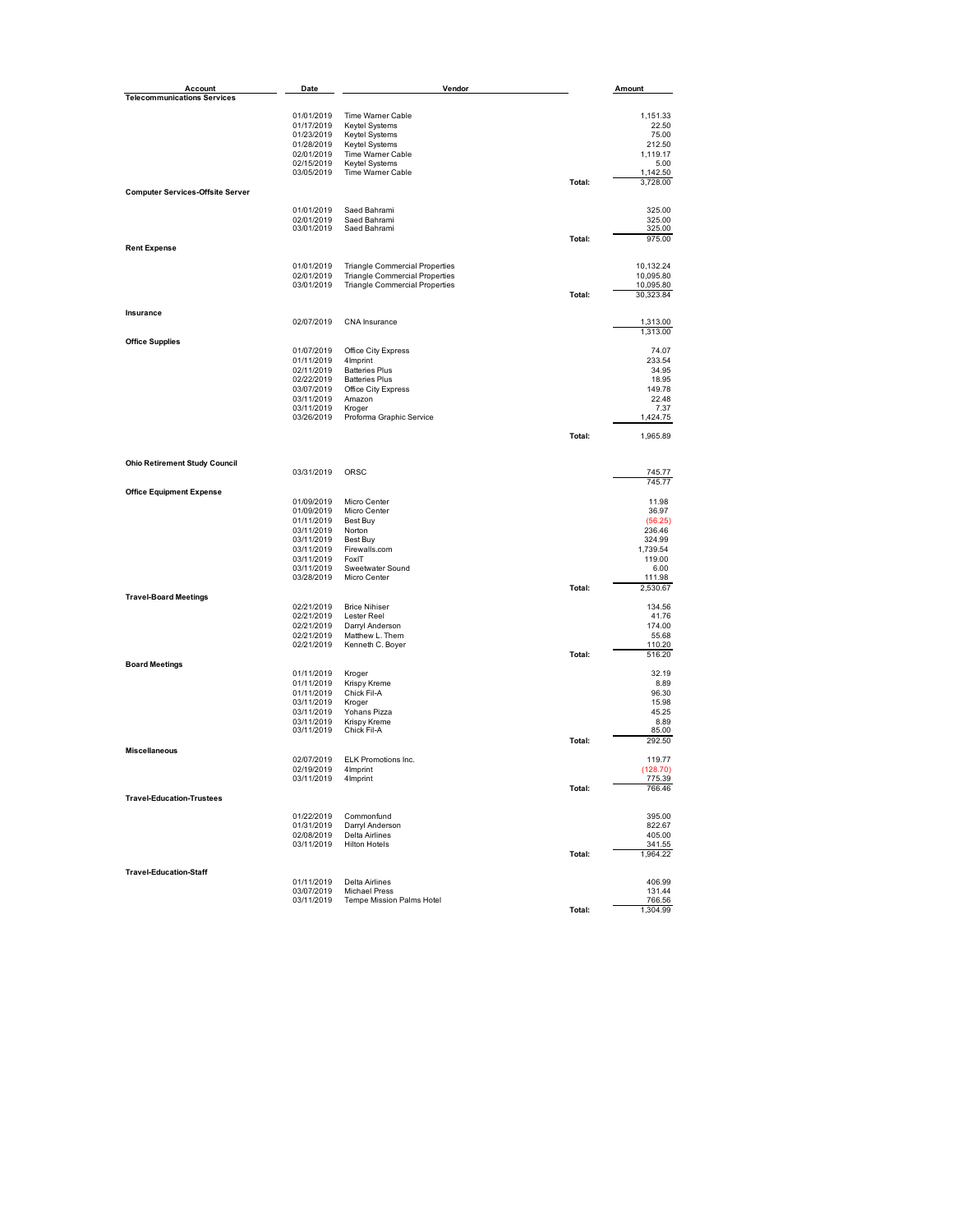| Account                                 | Date                     | Vendor                                |        | Amount               |
|-----------------------------------------|--------------------------|---------------------------------------|--------|----------------------|
| <b>Telecommunications Services</b>      |                          |                                       |        |                      |
|                                         | 01/01/2019               | Time Warner Cable                     |        | 1,151.33             |
|                                         | 01/17/2019               | <b>Keytel Systems</b>                 |        | 22.50                |
|                                         | 01/23/2019               | <b>Keytel Systems</b>                 |        | 75.00                |
|                                         | 01/28/2019               | Keytel Systems                        |        | 212.50               |
|                                         | 02/01/2019               | Time Warner Cable                     |        | 1,119.17             |
|                                         | 02/15/2019               | Keytel Systems                        |        | 5.00                 |
|                                         | 03/05/2019               | Time Warner Cable                     | Total: | 1.142.50<br>3,728.00 |
| <b>Computer Services-Offsite Server</b> |                          |                                       |        |                      |
|                                         | 01/01/2019               | Saed Bahrami                          |        | 325.00               |
|                                         | 02/01/2019               | Saed Bahrami                          |        | 325.00               |
|                                         | 03/01/2019               | Saed Bahrami                          |        | 325.00               |
| <b>Rent Expense</b>                     |                          |                                       | Total: | 975.00               |
|                                         | 01/01/2019               | <b>Triangle Commercial Properties</b> |        | 10,132.24            |
|                                         | 02/01/2019               | <b>Triangle Commercial Properties</b> |        | 10,095.80            |
|                                         | 03/01/2019               | <b>Triangle Commercial Properties</b> |        | 10,095.80            |
|                                         |                          |                                       | Total: | 30,323.84            |
| Insurance                               |                          |                                       |        |                      |
|                                         | 02/07/2019               | CNA Insurance                         |        | 1,313.00<br>1,313.00 |
| <b>Office Supplies</b>                  |                          |                                       |        |                      |
|                                         | 01/07/2019<br>01/11/2019 | Office City Express<br>4Imprint       |        | 74.07<br>233.54      |
|                                         | 02/11/2019               | <b>Batteries Plus</b>                 |        | 34.95                |
|                                         | 02/22/2019               | <b>Batteries Plus</b>                 |        | 18.95                |
|                                         | 03/07/2019               | Office City Express                   |        | 149.78               |
|                                         | 03/11/2019               | Amazon                                |        | 22.48                |
|                                         | 03/11/2019               | Kroger                                |        | 7.37                 |
|                                         | 03/26/2019               | Proforma Graphic Service              |        | 1,424.75             |
|                                         |                          |                                       | Total: | 1,965.89             |
|                                         |                          |                                       |        |                      |
| <b>Ohio Retirement Study Council</b>    | 03/31/2019               | ORSC                                  |        | 745.77               |
|                                         |                          |                                       |        | 745.77               |
| <b>Office Equipment Expense</b>         | 01/09/2019               | Micro Center                          |        | 11.98                |
|                                         | 01/09/2019               | Micro Center                          |        | 36.97                |
|                                         | 01/11/2019               | Best Buy                              |        | (56.25)              |
|                                         | 03/11/2019               | Norton                                |        | 236.46               |
|                                         | 03/11/2019               | Best Buy                              |        | 324.99               |
|                                         | 03/11/2019               | Firewalls.com                         |        | 1,739.54             |
|                                         | 03/11/2019               | FoxIT                                 |        | 119.00               |
|                                         | 03/11/2019<br>03/28/2019 | Sweetwater Sound<br>Micro Center      |        | 6.00<br>111.98       |
|                                         |                          |                                       | Total: | 2,530.67             |
| <b>Travel-Board Meetings</b>            | 02/21/2019               | <b>Brice Nihiser</b>                  |        | 134.56               |
|                                         | 02/21/2019               | Lester Reel                           |        | 41.76                |
|                                         | 02/21/2019               | Darryl Anderson                       |        | 174.00               |
|                                         | 02/21/2019               | Matthew L. Them                       |        | 55.68                |
|                                         | 02/21/2019               | Kenneth C. Boyer                      |        | 110.20               |
| <b>Board Meetings</b>                   |                          |                                       | Total: | 516.20               |
|                                         | 01/11/2019               | Kroger                                |        | 32.19                |
|                                         | 01/11/2019               | Krispy Kreme                          |        | 8.89                 |
|                                         | 01/11/2019               | Chick Fil-A                           |        | 96.30                |
|                                         | 03/11/2019               | Kroger                                |        | 15.98                |
|                                         | 03/11/2019<br>03/11/2019 | Yohans Pizza<br>Krispy Kreme          |        | 45.25<br>8.89        |
|                                         | 03/11/2019               | Chick Fil-A                           |        | 85.00                |
|                                         |                          |                                       | Total: | 292.50               |
| <b>Miscellaneous</b>                    | 02/07/2019               | ELK Promotions Inc.                   |        | 119.77               |
|                                         | 02/19/2019               | 4Imprint                              |        | (128.70)             |
|                                         | 03/11/2019               | 4Imprint                              | Total: | 775.39               |
| <b>Travel-Education-Trustees</b>        |                          |                                       |        | 766.46               |
|                                         | 01/22/2019               | Commonfund                            |        | 395.00               |
|                                         | 01/31/2019               | Darryl Anderson                       |        | 822.67               |
|                                         | 02/08/2019               | <b>Delta Airlines</b>                 |        | 405.00               |
|                                         | 03/11/2019               | <b>Hilton Hotels</b>                  | Total: | 341.55               |
|                                         |                          |                                       |        | 1,964.22             |
| <b>Travel-Education-Staff</b>           | 01/11/2019               | Delta Airlines                        |        | 406.99               |
|                                         | 03/07/2019               | <b>Michael Press</b>                  |        | 131.44               |
|                                         | 03/11/2019               | Tempe Mission Palms Hotel             |        | 766.56               |
|                                         |                          |                                       | Total: | 1,304.99             |